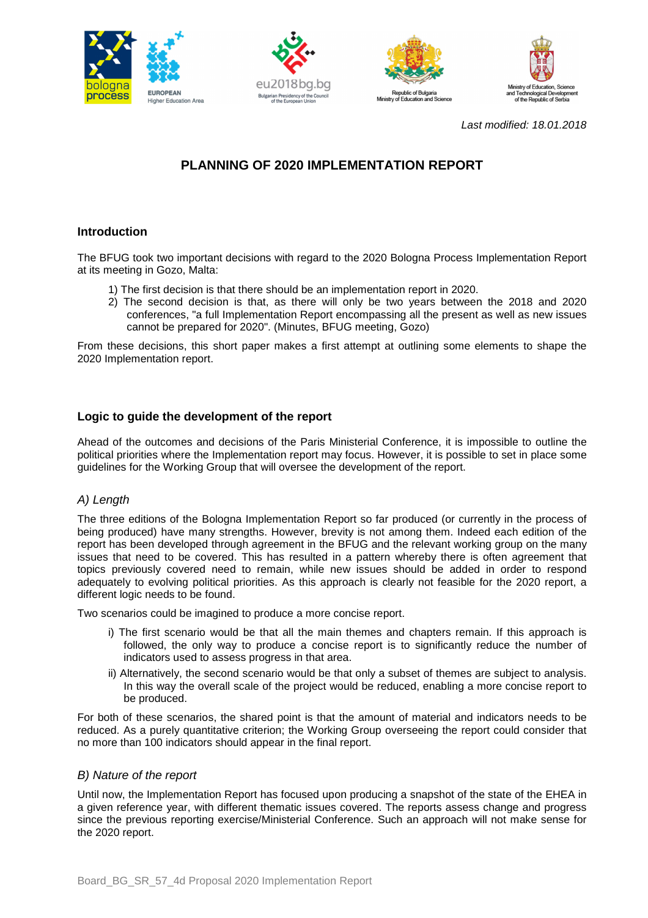







Last modified: 18.01.2018

# **PLANNING OF 2020 IMPLEMENTATION REPORT**

# **Introduction**

The BFUG took two important decisions with regard to the 2020 Bologna Process Implementation Report at its meeting in Gozo, Malta:

- 1) The first decision is that there should be an implementation report in 2020.
- 2) The second decision is that, as there will only be two years between the 2018 and 2020 conferences, "a full Implementation Report encompassing all the present as well as new issues cannot be prepared for 2020". (Minutes, BFUG meeting, Gozo)

From these decisions, this short paper makes a first attempt at outlining some elements to shape the 2020 Implementation report.

## **Logic to guide the development of the report**

Ahead of the outcomes and decisions of the Paris Ministerial Conference, it is impossible to outline the political priorities where the Implementation report may focus. However, it is possible to set in place some guidelines for the Working Group that will oversee the development of the report.

#### A) Length

The three editions of the Bologna Implementation Report so far produced (or currently in the process of being produced) have many strengths. However, brevity is not among them. Indeed each edition of the report has been developed through agreement in the BFUG and the relevant working group on the many issues that need to be covered. This has resulted in a pattern whereby there is often agreement that topics previously covered need to remain, while new issues should be added in order to respond adequately to evolving political priorities. As this approach is clearly not feasible for the 2020 report, a different logic needs to be found.

Two scenarios could be imagined to produce a more concise report.

- i) The first scenario would be that all the main themes and chapters remain. If this approach is followed, the only way to produce a concise report is to significantly reduce the number of indicators used to assess progress in that area.
- ii) Alternatively, the second scenario would be that only a subset of themes are subject to analysis. In this way the overall scale of the project would be reduced, enabling a more concise report to be produced.

For both of these scenarios, the shared point is that the amount of material and indicators needs to be reduced. As a purely quantitative criterion; the Working Group overseeing the report could consider that no more than 100 indicators should appear in the final report.

#### B) Nature of the report

Until now, the Implementation Report has focused upon producing a snapshot of the state of the EHEA in a given reference year, with different thematic issues covered. The reports assess change and progress since the previous reporting exercise/Ministerial Conference. Such an approach will not make sense for the 2020 report.